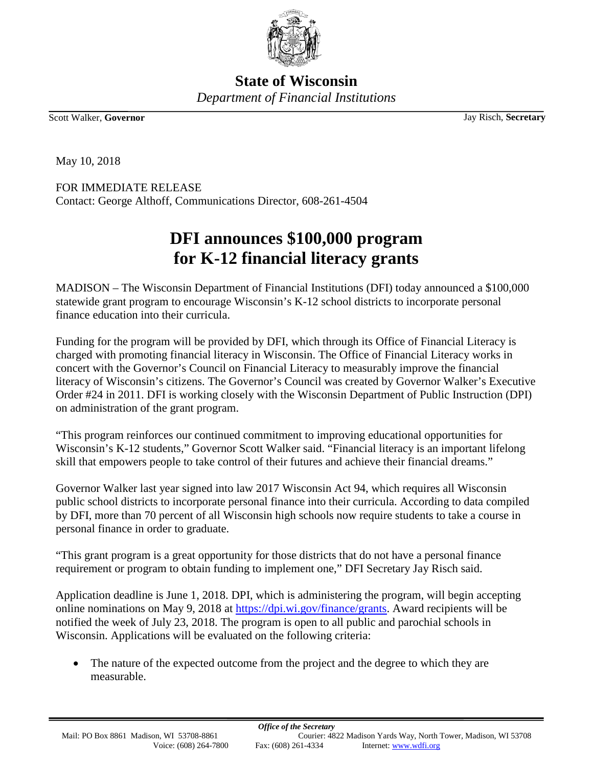

**State of Wisconsin** *Department of Financial Institutions*

Scott Walker, **Governor** Jay Risch, **Secretary**

May 10, 2018

FOR IMMEDIATE RELEASE Contact: George Althoff, Communications Director, 608-261-4504

## **DFI announces \$100,000 program for K-12 financial literacy grants**

MADISON – The Wisconsin Department of Financial Institutions (DFI) today announced a \$100,000 statewide grant program to encourage Wisconsin's K-12 school districts to incorporate personal finance education into their curricula.

Funding for the program will be provided by DFI, which through its Office of Financial Literacy is charged with promoting financial literacy in Wisconsin. The Office of Financial Literacy works in concert with the Governor's Council on Financial Literacy to measurably improve the financial literacy of Wisconsin's citizens. The Governor's Council was created by Governor Walker's Executive Order #24 in 2011. DFI is working closely with the Wisconsin Department of Public Instruction (DPI) on administration of the grant program.

"This program reinforces our continued commitment to improving educational opportunities for Wisconsin's K-12 students," Governor Scott Walker said. "Financial literacy is an important lifelong skill that empowers people to take control of their futures and achieve their financial dreams."

Governor Walker last year signed into law 2017 Wisconsin Act 94, which requires all Wisconsin public school districts to incorporate personal finance into their curricula. According to data compiled by DFI, more than 70 percent of all Wisconsin high schools now require students to take a course in personal finance in order to graduate.

"This grant program is a great opportunity for those districts that do not have a personal finance requirement or program to obtain funding to implement one," DFI Secretary Jay Risch said.

Application deadline is June 1, 2018. DPI, which is administering the program, will begin accepting online nominations on May 9, 2018 at [https://dpi.wi.gov/finance/grants.](https://dpi.wi.gov/finance/grants) Award recipients will be notified the week of July 23, 2018. The program is open to all public and parochial schools in Wisconsin. Applications will be evaluated on the following criteria:

• The nature of the expected outcome from the project and the degree to which they are measurable.